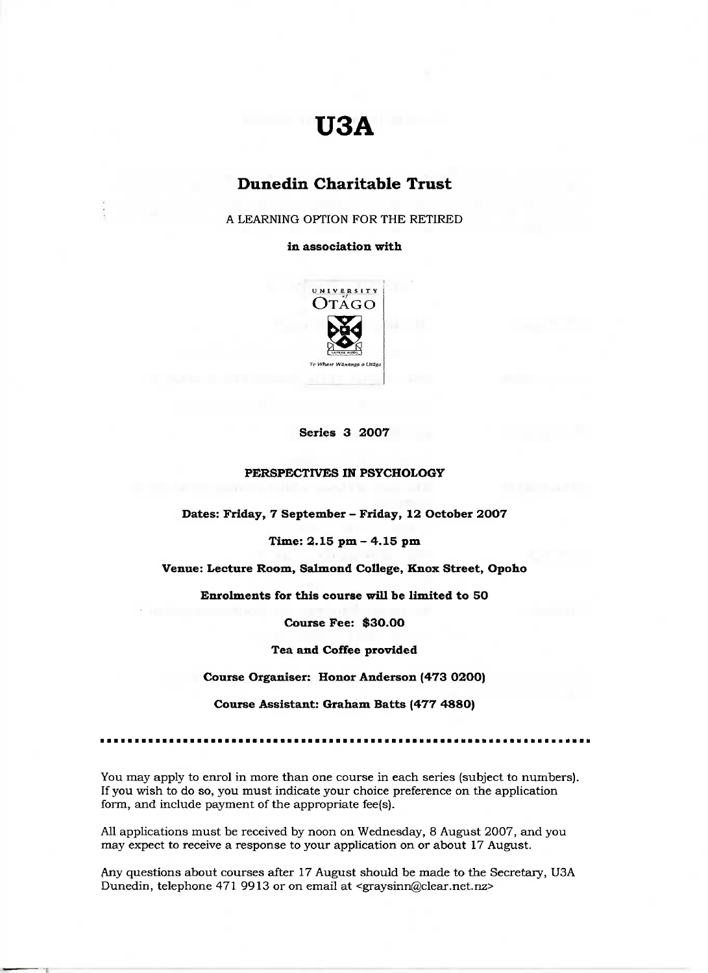# **USA**

# **Dunedin Charitable Trust**

A LEARNING OPTION FOR THE RETIRED

**in association with**



### **Series 3 2007**

#### **PERSPECTIVES IN PSYCHOLOGY**

**Dates: Friday, 7 September - Friday, 12 October 2007**

**Time: 2.15 pm - 4.15 pm**

**Venue: Lecture Room, Salmond College, Knox Street, Opoho**

**Enrolments for this course will be limited to 50**

**Course Fee: \$30.00**

**Tea and Coffee provided**

**Course Organiser: Honor Anderson (473 0200)**

**Course Assistant: Graham Batts (477 4880)**

You may apply to enrol in more than one course in each series (subject to numbers). If you wish to do so, you must indicate your choice preference on the application form, and include payment of the appropriate fee(s).

All applications must be received by noon on Wednesday, 8 August 2007, and you may expect to receive a response to your application on or about 17 August.

Any questions about courses after 17 August should be made to the Secretary, USA Dunedin, telephone 471 9913 or on email at <graysinn@clear.net.nz>